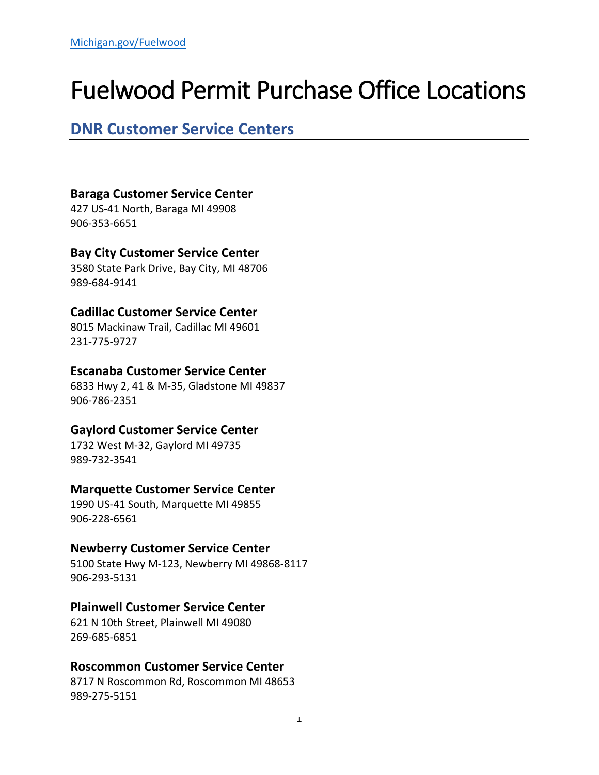# Fuelwood Permit Purchase Office Locations

# **DNR Customer Service Centers**

### **Baraga Customer Service Center**

427 US-41 North, Baraga MI 49908 906-353-6651

# **Bay City Customer Service Center**

3580 State Park Drive, Bay City, MI 48706 989-684-9141

# **Cadillac Customer Service Center**

8015 Mackinaw Trail, Cadillac MI 49601 231-775-9727

### **Escanaba Customer Service Center**

6833 Hwy 2, 41 & M-35, Gladstone MI 49837 906-786-2351

# **Gaylord Customer Service Center**

1732 West M-32, Gaylord MI 49735 989-732-3541

#### **Marquette Customer Service Center**

1990 US-41 South, Marquette MI 49855 906-228-6561

# **Newberry Customer Service Center**

5100 State Hwy M-123, Newberry MI 49868-8117 906-293-5131

# **Plainwell Customer Service Center**

621 N 10th Street, Plainwell MI 49080 269-685-6851

#### **Roscommon Customer Service Center**

8717 N Roscommon Rd, Roscommon MI 48653 989-275-5151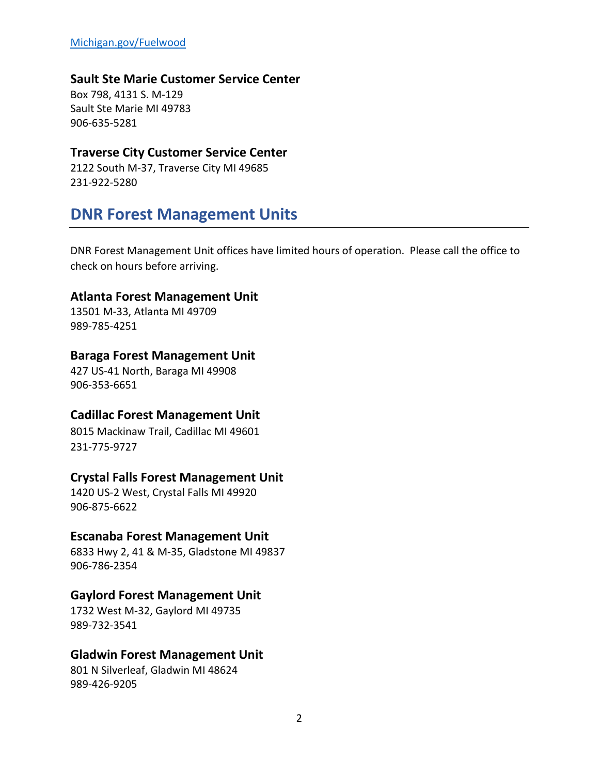#### **Sault Ste Marie Customer Service Center**

Box 798, 4131 S. M-129 Sault Ste Marie MI 49783 906-635-5281

#### **Traverse City Customer Service Center**

2122 South M-37, Traverse City MI 49685 231-922-5280

# **DNR Forest Management Units**

DNR Forest Management Unit offices have limited hours of operation. Please call the office to check on hours before arriving.

#### **Atlanta Forest Management Unit**

13501 M-33, Atlanta MI 49709 989-785-4251

#### **Baraga Forest Management Unit**

427 US-41 North, Baraga MI 49908 906-353-6651

#### **Cadillac Forest Management Unit**

8015 Mackinaw Trail, Cadillac MI 49601 231-775-9727

#### **Crystal Falls Forest Management Unit**

1420 US-2 West, Crystal Falls MI 49920 906-875-6622

#### **Escanaba Forest Management Unit**

6833 Hwy 2, 41 & M-35, Gladstone MI 49837 906-786-2354

#### **Gaylord Forest Management Unit**

1732 West M-32, Gaylord MI 49735 989-732-3541

#### **Gladwin Forest Management Unit**

801 N Silverleaf, Gladwin MI 48624 989-426-9205